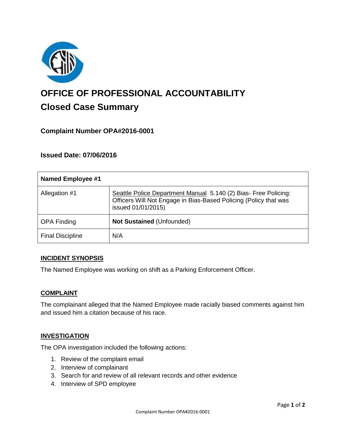

# **OFFICE OF PROFESSIONAL ACCOUNTABILITY Closed Case Summary**

# **Complaint Number OPA#2016-0001**

## **Issued Date: 07/06/2016**

| <b>Named Employee #1</b> |                                                                                                                                                           |
|--------------------------|-----------------------------------------------------------------------------------------------------------------------------------------------------------|
| Allegation #1            | Seattle Police Department Manual 5.140 (2) Bias- Free Policing:<br>Officers Will Not Engage in Bias-Based Policing (Policy that was<br>issued 01/01/2015) |
| <b>OPA Finding</b>       | <b>Not Sustained (Unfounded)</b>                                                                                                                          |
| <b>Final Discipline</b>  | N/A                                                                                                                                                       |

## **INCIDENT SYNOPSIS**

The Named Employee was working on shift as a Parking Enforcement Officer.

#### **COMPLAINT**

The complainant alleged that the Named Employee made racially biased comments against him and issued him a citation because of his race.

## **INVESTIGATION**

The OPA investigation included the following actions:

- 1. Review of the complaint email
- 2. Interview of complainant
- 3. Search for and review of all relevant records and other evidence
- 4. Interview of SPD employee